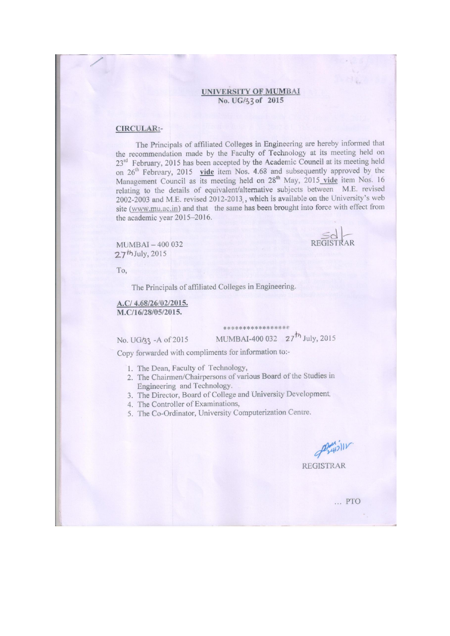#### **UNIVERSITY OF MUMBAI** No. UG/33 of 2015

#### **CIRCULAR:-**

The Principals of affiliated Colleges in Engineering are hereby informed that the recommendation made by the Faculty of Technology at its meeting held on 23<sup>rd</sup> February, 2015 has been accepted by the Academic Council at its meeting held on  $26^{th}$  February, 2015 vide item Nos. 4.68 and subsequently approved by the Management Council as its meeting held on  $28^{th}$  May, 2015 vide item Nos. 16 relating to the details of equivalent/alternative subjects between M.E. revised 2002-2003 and M.E. revised 2012-2013, which is available on the University's web site (www.mu.ac.in) and that the same has been brought into force with effect from the academic year 2015-2016.

MUMBAI-400 032  $27<sup>th</sup>$  July, 2015

To.

The Principals of affiliated Colleges in Engineering.

#### A.C/ 4.68/26/02/2015. M.C/16/28/05/2015.

\*\*\*\*\*\*\*\*\*\*\*\*\*\*

No. UG/33 - A of 2015

MUMBAI-400 032 27<sup>th</sup> July, 2015

Copy forwarded with compliments for information to:-

- 1. The Dean, Faculty of Technology,
- 2. The Chairmen/Chairpersons of various Board of the Studies in Engineering and Technology.
- 3. The Director, Board of College and University Development,
- 4. The Controller of Examinations,
- 5. The Co-Ordinator, University Computerization Centre.

de 2412/11

REGISTRAR

... PTO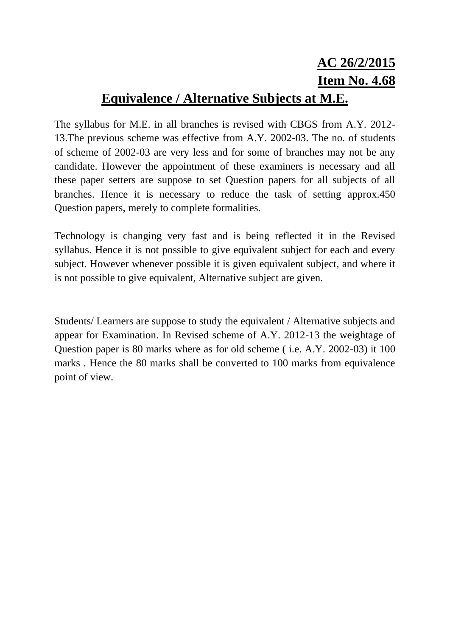# **AC 26/2/2015 Item No. 4.68 Equivalence / Alternative Subjects at M.E.**

The syllabus for M.E. in all branches is revised with CBGS from A.Y. 2012- 13.The previous scheme was effective from A.Y. 2002-03. The no. of students of scheme of 2002-03 are very less and for some of branches may not be any candidate. However the appointment of these examiners is necessary and all these paper setters are suppose to set Question papers for all subjects of all branches. Hence it is necessary to reduce the task of setting approx.450 Question papers, merely to complete formalities.

Technology is changing very fast and is being reflected it in the Revised syllabus. Hence it is not possible to give equivalent subject for each and every subject. However whenever possible it is given equivalent subject, and where it is not possible to give equivalent, Alternative subject are given.

Students/ Learners are suppose to study the equivalent / Alternative subjects and appear for Examination. In Revised scheme of A.Y. 2012-13 the weightage of Question paper is 80 marks where as for old scheme ( i.e. A.Y. 2002-03) it 100 marks . Hence the 80 marks shall be converted to 100 marks from equivalence point of view.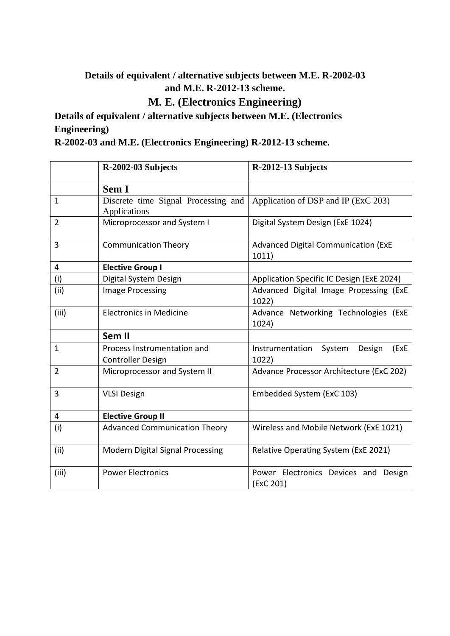### **Details of equivalent / alternative subjects between M.E. R-2002-03 and M.E. R-2012-13 scheme.**

### **M. E. (Electronics Engineering)**

### **Details of equivalent / alternative subjects between M.E. (Electronics Engineering)**

**R-2002-03 and M.E. (Electronics Engineering) R-2012-13 scheme.**

|                | R-2002-03 Subjects                                      | R-2012-13 Subjects                                   |
|----------------|---------------------------------------------------------|------------------------------------------------------|
|                | Sem I                                                   |                                                      |
| 1              | Discrete time Signal Processing and<br>Applications     | Application of DSP and IP (ExC 203)                  |
| $\overline{2}$ | Microprocessor and System I                             | Digital System Design (ExE 1024)                     |
| 3              | <b>Communication Theory</b>                             | <b>Advanced Digital Communication (ExE</b><br>1011)  |
| 4              | <b>Elective Group I</b>                                 |                                                      |
| (i)            | Digital System Design                                   | Application Specific IC Design (ExE 2024)            |
| (ii)           | <b>Image Processing</b>                                 | Advanced Digital Image Processing (ExE<br>1022)      |
| (iii)          | <b>Electronics in Medicine</b>                          | Advance Networking Technologies (ExE<br>1024)        |
|                | Sem II                                                  |                                                      |
| $\mathbf{1}$   | Process Instrumentation and<br><b>Controller Design</b> | System<br>Instrumentation<br>Design<br>(ExE<br>1022) |
| $\overline{2}$ | Microprocessor and System II                            | Advance Processor Architecture (ExC 202)             |
| 3              | <b>VLSI Design</b>                                      | Embedded System (ExC 103)                            |
| 4              | <b>Elective Group II</b>                                |                                                      |
| (i)            | <b>Advanced Communication Theory</b>                    | Wireless and Mobile Network (ExE 1021)               |
| (ii)           | <b>Modern Digital Signal Processing</b>                 | Relative Operating System (ExE 2021)                 |
| (iii)          | <b>Power Electronics</b>                                | Power Electronics Devices and Design<br>(ExC 201)    |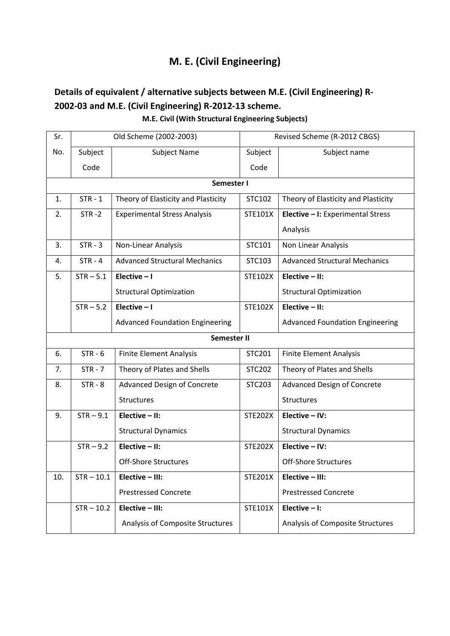## **M. E. (Civil Engineering)**

## **Details of equivalent / alternative subjects between M.E. (Civil Engineering) R-2002-03 and M.E. (Civil Engineering) R-2012-13 scheme.**

**M.E. Civil (With Structural Engineering Subjects)**

| Sr. |              | Old Scheme (2002-2003)                 |                | Revised Scheme (R-2012 CBGS)           |  |
|-----|--------------|----------------------------------------|----------------|----------------------------------------|--|
| No. | Subject      | <b>Subject Name</b>                    | Subject        | Subject name                           |  |
|     | Code         |                                        | Code           |                                        |  |
|     |              | Semester I                             |                |                                        |  |
| 1.  | $STR - 1$    | Theory of Elasticity and Plasticity    | STC102         | Theory of Elasticity and Plasticity    |  |
| 2.  | $STR - 2$    | <b>Experimental Stress Analysis</b>    | STE101X        | Elective - I: Experimental Stress      |  |
|     |              |                                        |                | Analysis                               |  |
| 3.  | $STR - 3$    | Non-Linear Analysis                    | STC101         | Non Linear Analysis                    |  |
| 4.  | $STR - 4$    | <b>Advanced Structural Mechanics</b>   | STC103         | <b>Advanced Structural Mechanics</b>   |  |
| 5.  | $STR - 5.1$  | Elective $-1$                          | STE102X        | Elective $-$ II:                       |  |
|     |              | <b>Structural Optimization</b>         |                | <b>Structural Optimization</b>         |  |
|     | $STR - 5.2$  | Elective $-1$                          | <b>STE102X</b> | Elective $-$ II:                       |  |
|     |              | <b>Advanced Foundation Engineering</b> |                | <b>Advanced Foundation Engineering</b> |  |
|     |              | Semester II                            |                |                                        |  |
| 6.  | $STR - 6$    | <b>Finite Element Analysis</b>         | STC201         | <b>Finite Element Analysis</b>         |  |
| 7.  | $STR - 7$    | Theory of Plates and Shells            | <b>STC202</b>  | Theory of Plates and Shells            |  |
| 8.  | $STR - 8$    | <b>Advanced Design of Concrete</b>     | <b>STC203</b>  | Advanced Design of Concrete            |  |
|     |              | <b>Structures</b>                      |                | Structures                             |  |
| 9.  | $STR - 9.1$  | Elective $-$ II:                       | <b>STE202X</b> | Elective - IV:                         |  |
|     |              | <b>Structural Dynamics</b>             |                | <b>Structural Dynamics</b>             |  |
|     | $STR - 9.2$  | Elective $-$ II:                       | <b>STE202X</b> | Elective - IV:                         |  |
|     |              | <b>Off-Shore Structures</b>            |                | <b>Off-Shore Structures</b>            |  |
| 10. | $STR - 10.1$ | Elective - III:                        | <b>STE201X</b> | Elective - III:                        |  |
|     |              | <b>Prestressed Concrete</b>            |                | <b>Prestressed Concrete</b>            |  |
|     | $STR - 10.2$ | Elective - III:                        | STE101X        | Elective $-1$ :                        |  |
|     |              | Analysis of Composite Structures       |                | Analysis of Composite Structures       |  |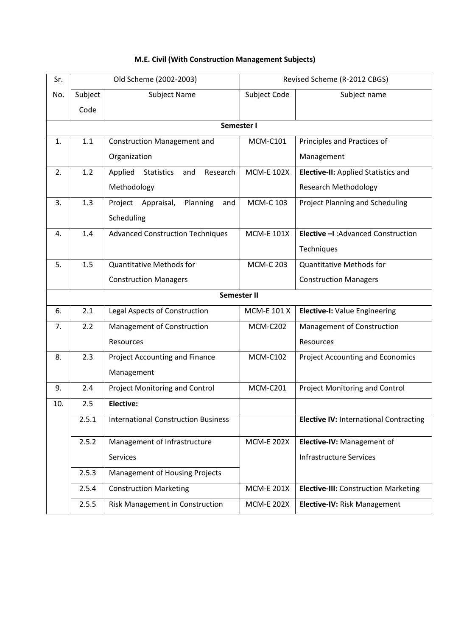| M.E. Civil (With Construction Management Subjects) |  |
|----------------------------------------------------|--|
|----------------------------------------------------|--|

| Sr. |         | Old Scheme (2002-2003)                          | Revised Scheme (R-2012 CBGS) |                                               |
|-----|---------|-------------------------------------------------|------------------------------|-----------------------------------------------|
| No. | Subject | <b>Subject Name</b>                             | Subject Code                 | Subject name                                  |
|     | Code    |                                                 |                              |                                               |
|     |         | Semester I                                      |                              |                                               |
| 1.  | 1.1     | <b>Construction Management and</b>              | <b>MCM-C101</b>              | Principles and Practices of                   |
|     |         | Organization                                    |                              | Management                                    |
| 2.  | 1.2     | Applied<br><b>Statistics</b><br>and<br>Research | <b>MCM-E 102X</b>            | <b>Elective-II:</b> Applied Statistics and    |
|     |         | Methodology                                     |                              | <b>Research Methodology</b>                   |
| 3.  | 1.3     | Planning<br>Project<br>Appraisal,<br>and        | <b>MCM-C 103</b>             | Project Planning and Scheduling               |
|     |         | Scheduling                                      |                              |                                               |
| 4.  | 1.4     | <b>Advanced Construction Techniques</b>         | <b>MCM-E 101X</b>            | Elective -I: Advanced Construction            |
|     |         |                                                 |                              | Techniques                                    |
| 5.  | 1.5     | <b>Quantitative Methods for</b>                 | <b>MCM-C 203</b>             | <b>Quantitative Methods for</b>               |
|     |         | <b>Construction Managers</b>                    |                              | <b>Construction Managers</b>                  |
|     |         | Semester II                                     |                              |                                               |
| 6.  | 2.1     | Legal Aspects of Construction                   | <b>MCM-E 101 X</b>           | Elective-I: Value Engineering                 |
| 7.  | 2.2     | Management of Construction                      | <b>MCM-C202</b>              | Management of Construction                    |
|     |         | Resources                                       |                              | Resources                                     |
| 8.  | 2.3     | <b>Project Accounting and Finance</b>           | <b>MCM-C102</b>              | <b>Project Accounting and Economics</b>       |
|     |         | Management                                      |                              |                                               |
| 9.  | 2.4     | <b>Project Monitoring and Control</b>           | <b>MCM-C201</b>              | <b>Project Monitoring and Control</b>         |
| 10. | 2.5     | <b>Elective:</b>                                |                              |                                               |
|     | 2.5.1   | <b>International Construction Business</b>      |                              | <b>Elective IV: International Contracting</b> |
|     | 2.5.2   | Management of Infrastructure                    | <b>MCM-E 202X</b>            | Elective-IV: Management of                    |
|     |         | Services                                        |                              | <b>Infrastructure Services</b>                |
|     | 2.5.3   | Management of Housing Projects                  |                              |                                               |
|     | 2.5.4   | <b>Construction Marketing</b>                   | <b>MCM-E 201X</b>            | <b>Elective-III:</b> Construction Marketing   |
|     | 2.5.5   | Risk Management in Construction                 | <b>MCM-E 202X</b>            | Elective-IV: Risk Management                  |
|     |         |                                                 |                              |                                               |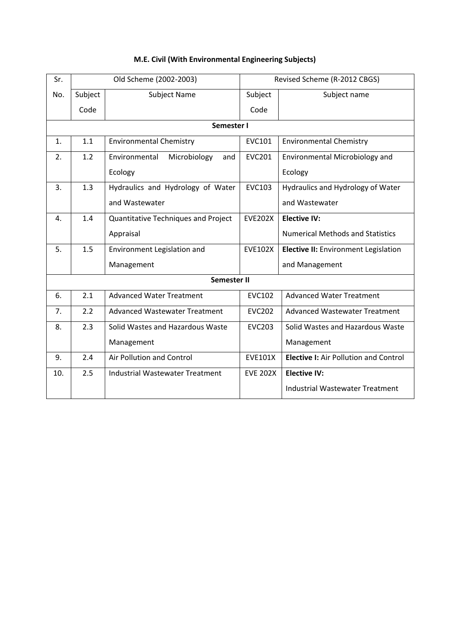| Sr. | Old Scheme (2002-2003) |                                        | Revised Scheme (R-2012 CBGS) |                                              |
|-----|------------------------|----------------------------------------|------------------------------|----------------------------------------------|
| No. | Subject                | Subject Name                           | Subject                      | Subject name                                 |
|     | Code                   |                                        | Code                         |                                              |
|     |                        | Semester I                             |                              |                                              |
| 1.  | 1.1                    | <b>Environmental Chemistry</b>         | <b>EVC101</b>                | <b>Environmental Chemistry</b>               |
| 2.  | 1.2                    | Microbiology<br>Environmental<br>and   | <b>EVC201</b>                | Environmental Microbiology and               |
|     |                        | Ecology                                |                              | Ecology                                      |
| 3.  | 1.3                    | Hydraulics and Hydrology of Water      | <b>EVC103</b>                | Hydraulics and Hydrology of Water            |
|     |                        | and Wastewater                         |                              | and Wastewater                               |
| 4.  | 1.4                    | Quantitative Techniques and Project    | <b>EVE202X</b>               | <b>Elective IV:</b>                          |
|     |                        | Appraisal                              |                              | <b>Numerical Methods and Statistics</b>      |
| 5.  | 1.5                    | Environment Legislation and            | <b>EVE102X</b>               | Elective II: Environment Legislation         |
|     |                        | Management                             |                              | and Management                               |
|     |                        | <b>Semester II</b>                     |                              |                                              |
| 6.  | 2.1                    | <b>Advanced Water Treatment</b>        | <b>EVC102</b>                | <b>Advanced Water Treatment</b>              |
| 7.  | 2.2                    | <b>Advanced Wastewater Treatment</b>   | <b>EVC202</b>                | <b>Advanced Wastewater Treatment</b>         |
| 8.  | 2.3                    | Solid Wastes and Hazardous Waste       | <b>EVC203</b>                | Solid Wastes and Hazardous Waste             |
|     |                        | Management                             |                              | Management                                   |
| 9.  | 2.4                    | Air Pollution and Control              | <b>EVE101X</b>               | <b>Elective I:</b> Air Pollution and Control |
| 10. | 2.5                    | <b>Industrial Wastewater Treatment</b> | <b>EVE 202X</b>              | <b>Elective IV:</b>                          |
|     |                        |                                        |                              | Industrial Wastewater Treatment              |

#### **M.E. Civil (With Environmental Engineering Subjects)**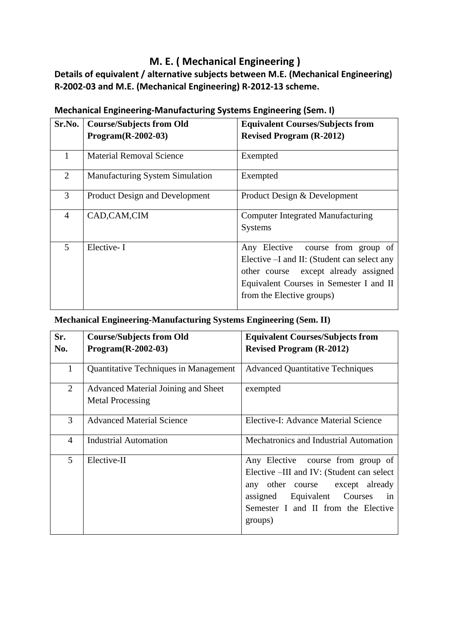### **M. E. ( Mechanical Engineering )**

**Details of equivalent / alternative subjects between M.E. (Mechanical Engineering) R-2002-03 and M.E. (Mechanical Engineering) R-2012-13 scheme.**

| Sr.No.         | <b>Course/Subjects from Old</b>        | <b>Equivalent Courses/Subjects from</b>                                                                                                                                                          |
|----------------|----------------------------------------|--------------------------------------------------------------------------------------------------------------------------------------------------------------------------------------------------|
|                | Program(R-2002-03)                     | <b>Revised Program (R-2012)</b>                                                                                                                                                                  |
| 1              | <b>Material Removal Science</b>        | Exempted                                                                                                                                                                                         |
| 2              | <b>Manufacturing System Simulation</b> | Exempted                                                                                                                                                                                         |
| 3              | Product Design and Development         | Product Design & Development                                                                                                                                                                     |
| $\overline{4}$ | CAD,CAM,CIM                            | <b>Computer Integrated Manufacturing</b><br>Systems                                                                                                                                              |
| 5              | Elective-I                             | Any Elective course from group of<br>Elective –I and II: (Student can select any<br>other course except already assigned<br>Equivalent Courses in Semester I and II<br>from the Elective groups) |

#### **Mechanical Engineering-Manufacturing Systems Engineering (Sem. I)**

#### **Mechanical Engineering-Manufacturing Systems Engineering (Sem. II)**

| Sr.            | <b>Course/Subjects from Old</b>                                | <b>Equivalent Courses/Subjects from</b>                                                                                                                                                                  |
|----------------|----------------------------------------------------------------|----------------------------------------------------------------------------------------------------------------------------------------------------------------------------------------------------------|
| No.            | Program(R-2002-03)                                             | <b>Revised Program (R-2012)</b>                                                                                                                                                                          |
| 1              | Quantitative Techniques in Management                          | <b>Advanced Quantitative Techniques</b>                                                                                                                                                                  |
| $\overline{2}$ | Advanced Material Joining and Sheet<br><b>Metal Processing</b> | exempted                                                                                                                                                                                                 |
| 3              | <b>Advanced Material Science</b>                               | Elective-I: Advance Material Science                                                                                                                                                                     |
| $\overline{4}$ | <b>Industrial Automation</b>                                   | Mechatronics and Industrial Automation                                                                                                                                                                   |
| 5              | Elective-II                                                    | Any Elective course from group of<br>Elective –III and IV: (Student can select<br>any other course except already<br>assigned Equivalent Courses<br>in<br>Semester I and II from the Elective<br>groups) |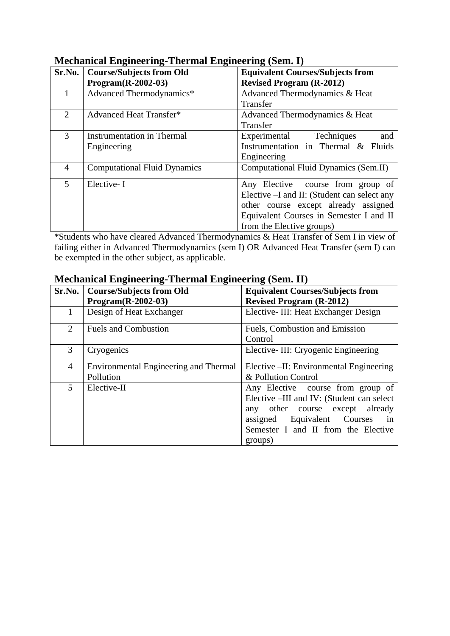| Sr.No. | <b>Course/Subjects from Old</b>     | <b>Equivalent Courses/Subjects from</b>     |
|--------|-------------------------------------|---------------------------------------------|
|        | Program(R-2002-03)                  | <b>Revised Program (R-2012)</b>             |
|        | Advanced Thermodynamics*            | Advanced Thermodynamics & Heat              |
|        |                                     | Transfer                                    |
| 2      | <b>Advanced Heat Transfer*</b>      | Advanced Thermodynamics & Heat              |
|        |                                     | Transfer                                    |
| 3      | <b>Instrumentation in Thermal</b>   | Experimental Techniques<br>and              |
|        | Engineering                         | Instrumentation in Thermal & Fluids         |
|        |                                     | Engineering                                 |
| 4      | <b>Computational Fluid Dynamics</b> | Computational Fluid Dynamics (Sem.II)       |
| 5      | Elective-I                          | Any Elective course from group of           |
|        |                                     | Elective -I and II: (Student can select any |
|        |                                     | other course except already assigned        |
|        |                                     | Equivalent Courses in Semester I and II     |
|        |                                     | from the Elective groups)                   |

**Mechanical Engineering-Thermal Engineering (Sem. I)**

\*Students who have cleared Advanced Thermodynamics & Heat Transfer of Sem I in view of failing either in Advanced Thermodynamics (sem I) OR Advanced Heat Transfer (sem I) can be exempted in the other subject, as applicable.

| Sr.No.         | <b>Course/Subjects from Old</b>              | , של יידי אין פי<br><b>Equivalent Courses/Subjects from</b> |
|----------------|----------------------------------------------|-------------------------------------------------------------|
|                | Program(R-2002-03)                           | <b>Revised Program (R-2012)</b>                             |
| $\mathbf 1$    | Design of Heat Exchanger                     | Elective-III: Heat Exchanger Design                         |
| $\overline{2}$ | <b>Fuels and Combustion</b>                  | Fuels, Combustion and Emission                              |
|                |                                              | Control                                                     |
| 3              | Cryogenics                                   | Elective-III: Cryogenic Engineering                         |
| $\overline{4}$ | <b>Environmental Engineering and Thermal</b> | Elective –II: Environmental Engineering                     |
|                | Pollution                                    | & Pollution Control                                         |
| 5              | Elective-II                                  | Any Elective course from group of                           |
|                |                                              | Elective –III and IV: (Student can select                   |
|                |                                              | any other course except already                             |
|                |                                              | assigned Equivalent Courses<br>in                           |
|                |                                              | Semester I and II from the Elective                         |
|                |                                              | groups)                                                     |

#### **Mechanical Engineering-Thermal Engineering (Sem. II)**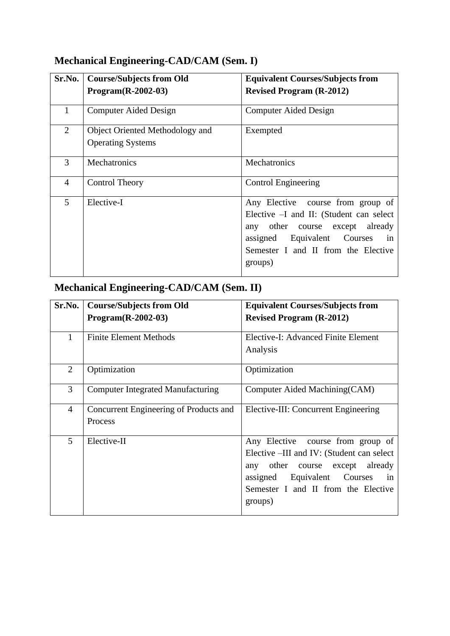# **Mechanical Engineering-CAD/CAM (Sem. I)**

| Sr.No.         | <b>Course/Subjects from Old</b>                             | <b>Equivalent Courses/Subjects from</b>                                                                                                                                                                  |
|----------------|-------------------------------------------------------------|----------------------------------------------------------------------------------------------------------------------------------------------------------------------------------------------------------|
|                | $Program(R-2002-03)$                                        | <b>Revised Program (R-2012)</b>                                                                                                                                                                          |
| 1              | <b>Computer Aided Design</b>                                | <b>Computer Aided Design</b>                                                                                                                                                                             |
| 2              | Object Oriented Methodology and<br><b>Operating Systems</b> | Exempted                                                                                                                                                                                                 |
| 3              | Mechatronics                                                | <b>Mechatronics</b>                                                                                                                                                                                      |
| $\overline{4}$ | <b>Control Theory</b>                                       | <b>Control Engineering</b>                                                                                                                                                                               |
| 5              | Elective-I                                                  | Any Elective course from group of<br>Elective $-I$ and II: (Student can select<br>any other course except already<br>assigned Equivalent Courses<br>in<br>Semester I and II from the Elective<br>groups) |

# **Mechanical Engineering-CAD/CAM (Sem. II)**

| Sr.No.         | <b>Course/Subjects from Old</b><br>$Program(R-2002-03)$ | <b>Equivalent Courses/Subjects from</b><br><b>Revised Program (R-2012)</b> |
|----------------|---------------------------------------------------------|----------------------------------------------------------------------------|
|                |                                                         |                                                                            |
| 1              | <b>Finite Element Methods</b>                           | Elective-I: Advanced Finite Element                                        |
|                |                                                         | Analysis                                                                   |
| $\overline{2}$ | Optimization                                            | Optimization                                                               |
| 3              | <b>Computer Integrated Manufacturing</b>                | Computer Aided Machining (CAM)                                             |
| $\overline{4}$ | Concurrent Engineering of Products and                  | Elective-III: Concurrent Engineering                                       |
|                | Process                                                 |                                                                            |
| 5              | Elective-II                                             | Any Elective course from group of                                          |
|                |                                                         | Elective –III and IV: (Student can select                                  |
|                |                                                         | any other course except already                                            |
|                |                                                         | assigned Equivalent Courses<br>in                                          |
|                |                                                         | Semester I and II from the Elective                                        |
|                |                                                         | groups)                                                                    |
|                |                                                         |                                                                            |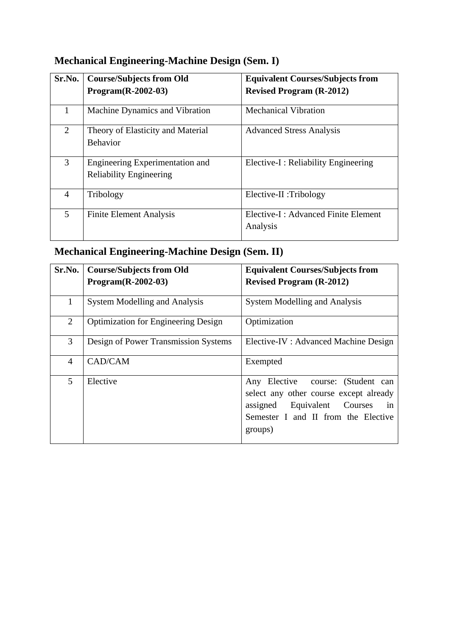# **Mechanical Engineering-Machine Design (Sem. I)**

| Sr.No.         | <b>Course/Subjects from Old</b><br>$Program(R-2002-03)$           | <b>Equivalent Courses/Subjects from</b><br><b>Revised Program (R-2012)</b> |
|----------------|-------------------------------------------------------------------|----------------------------------------------------------------------------|
|                | Machine Dynamics and Vibration                                    | <b>Mechanical Vibration</b>                                                |
| $\overline{2}$ | Theory of Elasticity and Material<br><b>Behavior</b>              | <b>Advanced Stress Analysis</b>                                            |
| 3              | Engineering Experimentation and<br><b>Reliability Engineering</b> | Elective-I : Reliability Engineering                                       |
| 4              | Tribology                                                         | Elective-II :Tribology                                                     |
| 5              | <b>Finite Element Analysis</b>                                    | Elective-I: Advanced Finite Element<br>Analysis                            |

# **Mechanical Engineering-Machine Design (Sem. II)**

| Sr.No.         | <b>Course/Subjects from Old</b>            | <b>Equivalent Courses/Subjects from</b>                                                                                                                            |  |
|----------------|--------------------------------------------|--------------------------------------------------------------------------------------------------------------------------------------------------------------------|--|
|                | $Program(R-2002-03)$                       | <b>Revised Program (R-2012)</b>                                                                                                                                    |  |
| $\mathbf{1}$   | <b>System Modelling and Analysis</b>       | <b>System Modelling and Analysis</b>                                                                                                                               |  |
| 2              | <b>Optimization for Engineering Design</b> | Optimization                                                                                                                                                       |  |
| 3              | Design of Power Transmission Systems       | Elective-IV : Advanced Machine Design                                                                                                                              |  |
| $\overline{4}$ | CAD/CAM                                    | Exempted                                                                                                                                                           |  |
| 5              | Elective                                   | Any Elective course: (Student can<br>select any other course except already<br>assigned Equivalent Courses<br>in<br>Semester I and II from the Elective<br>groups) |  |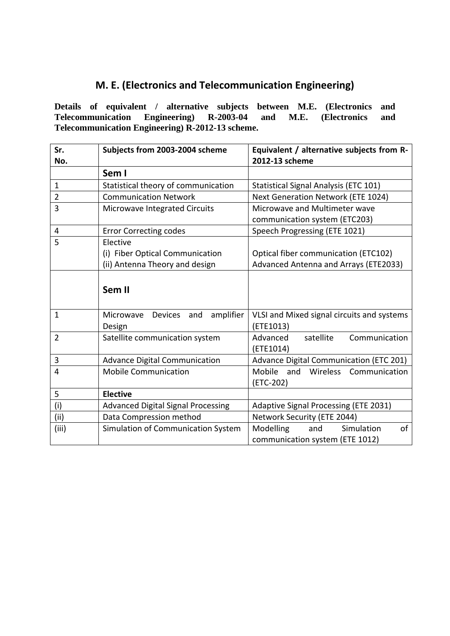### **M. E. (Electronics and Telecommunication Engineering)**

**Details of equivalent / alternative subjects between M.E. (Electronics and Telecommunication Engineering) R-2003-04 and M.E. (Electronics and Telecommunication Engineering) R-2012-13 scheme.**

| Sr.<br>No.     | Subjects from 2003-2004 scheme            | Equivalent / alternative subjects from R-<br>2012-13 scheme |  |
|----------------|-------------------------------------------|-------------------------------------------------------------|--|
|                | Sem I                                     |                                                             |  |
| $\mathbf{1}$   | Statistical theory of communication       | Statistical Signal Analysis (ETC 101)                       |  |
| $\overline{2}$ | <b>Communication Network</b>              | Next Generation Network (ETE 1024)                          |  |
| 3              | Microwave Integrated Circuits             | Microwave and Multimeter wave                               |  |
|                |                                           | communication system (ETC203)                               |  |
| 4              | <b>Error Correcting codes</b>             | Speech Progressing (ETE 1021)                               |  |
| 5              | Elective                                  |                                                             |  |
|                | (i) Fiber Optical Communication           | Optical fiber communication (ETC102)                        |  |
|                | (ii) Antenna Theory and design            | Advanced Antenna and Arrays (ETE2033)                       |  |
|                | Sem II                                    |                                                             |  |
| $\mathbf{1}$   | amplifier<br>Microwave Devices and        | VLSI and Mixed signal circuits and systems                  |  |
|                | Design                                    | (ETE1013)                                                   |  |
| $\overline{2}$ | Satellite communication system            | Advanced<br>satellite<br>Communication                      |  |
|                |                                           | (ETE1014)                                                   |  |
| $\mathbf{3}$   | <b>Advance Digital Communication</b>      | Advance Digital Communication (ETC 201)                     |  |
| 4              | <b>Mobile Communication</b>               | Wireless Communication<br><b>Mobile</b><br>and              |  |
|                |                                           | (ETC-202)                                                   |  |
| 5              | <b>Elective</b>                           |                                                             |  |
| (i)            | <b>Advanced Digital Signal Processing</b> | Adaptive Signal Processing (ETE 2031)                       |  |
| (iii)          | Data Compression method                   | Network Security (ETE 2044)                                 |  |
| (iii)          | Simulation of Communication System        | of<br>Modelling<br>Simulation<br>and                        |  |
|                |                                           | communication system (ETE 1012)                             |  |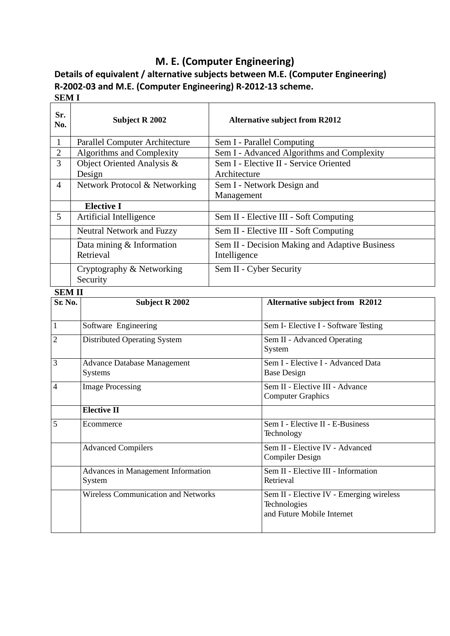## **M. E. (Computer Engineering)**

**Details of equivalent / alternative subjects between M.E. (Computer Engineering) R-2002-03 and M.E. (Computer Engineering) R-2012-13 scheme. SEM I**

| Sr.<br>No.     | <b>Subject R 2002</b>                                | <b>Alternative subject from R2012</b>  |                                                                                        |  |
|----------------|------------------------------------------------------|----------------------------------------|----------------------------------------------------------------------------------------|--|
| $\mathbf{1}$   | <b>Parallel Computer Architecture</b>                |                                        | Sem I - Parallel Computing                                                             |  |
| $\overline{2}$ | Algorithms and Complexity                            |                                        | Sem I - Advanced Algorithms and Complexity                                             |  |
| 3              | Object Oriented Analysis &                           | Sem I - Elective II - Service Oriented |                                                                                        |  |
|                | Design                                               | Architecture                           |                                                                                        |  |
| $\overline{4}$ | Network Protocol & Networking                        |                                        | Sem I - Network Design and                                                             |  |
|                |                                                      | Management                             |                                                                                        |  |
|                | <b>Elective I</b>                                    |                                        |                                                                                        |  |
| 5              | Artificial Intelligence                              |                                        | Sem II - Elective III - Soft Computing                                                 |  |
|                | Neutral Network and Fuzzy                            |                                        | Sem II - Elective III - Soft Computing                                                 |  |
|                | Data mining $&$ Information                          |                                        | Sem II - Decision Making and Adaptive Business                                         |  |
|                | Retrieval                                            | Intelligence                           |                                                                                        |  |
|                | Cryptography & Networking                            | Sem II - Cyber Security                |                                                                                        |  |
|                | Security                                             |                                        |                                                                                        |  |
| <b>SEMII</b>   |                                                      |                                        |                                                                                        |  |
| Sr. No.        | <b>Subject R 2002</b>                                |                                        | <b>Alternative subject from R2012</b>                                                  |  |
|                |                                                      |                                        |                                                                                        |  |
| $\mathbf{1}$   | Software Engineering                                 |                                        | Sem I- Elective I - Software Testing                                                   |  |
| $\overline{2}$ | <b>Distributed Operating System</b>                  |                                        | Sem II - Advanced Operating<br>System                                                  |  |
| 3              | <b>Advance Database Management</b><br><b>Systems</b> |                                        | Sem I - Elective I - Advanced Data<br><b>Base Design</b>                               |  |
| 4              | <b>Image Processing</b>                              |                                        | Sem II - Elective III - Advance<br><b>Computer Graphics</b>                            |  |
|                | <b>Elective II</b>                                   |                                        |                                                                                        |  |
| 5              | Ecommerce                                            |                                        | Sem I - Elective II - E-Business<br>Technology                                         |  |
|                | <b>Advanced Compilers</b>                            |                                        | Sem II - Elective IV - Advanced<br><b>Compiler Design</b>                              |  |
|                | Advances in Management Information<br>System         |                                        | Sem II - Elective III - Information<br>Retrieval                                       |  |
|                | <b>Wireless Communication and Networks</b>           |                                        | Sem II - Elective IV - Emerging wireless<br>Technologies<br>and Future Mobile Internet |  |